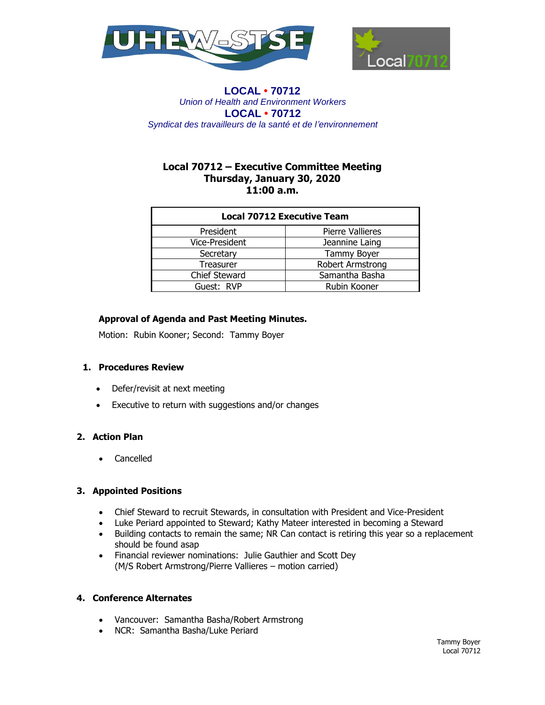



# **Local 70712 – Executive Committee Meeting Thursday, January 30, 2020 11:00 a.m.**

| <b>Local 70712 Executive Team</b> |                         |
|-----------------------------------|-------------------------|
| President                         | <b>Pierre Vallieres</b> |
| Vice-President                    | Jeannine Laing          |
| Secretary                         | <b>Tammy Boyer</b>      |
| Treasurer                         | Robert Armstrong        |
| <b>Chief Steward</b>              | Samantha Basha          |
| Guest: RVP                        | Rubin Kooner            |

# **Approval of Agenda and Past Meeting Minutes.**

Motion: Rubin Kooner; Second: Tammy Boyer

### **1. Procedures Review**

- Defer/revisit at next meeting
- Executive to return with suggestions and/or changes

## **2. Action Plan**

Cancelled

### **3. Appointed Positions**

- Chief Steward to recruit Stewards, in consultation with President and Vice-President
- Luke Periard appointed to Steward; Kathy Mateer interested in becoming a Steward
- Building contacts to remain the same; NR Can contact is retiring this year so a replacement should be found asap
- Financial reviewer nominations: Julie Gauthier and Scott Dey (M/S Robert Armstrong/Pierre Vallieres – motion carried)

### **4. Conference Alternates**

- Vancouver: Samantha Basha/Robert Armstrong
- NCR: Samantha Basha/Luke Periard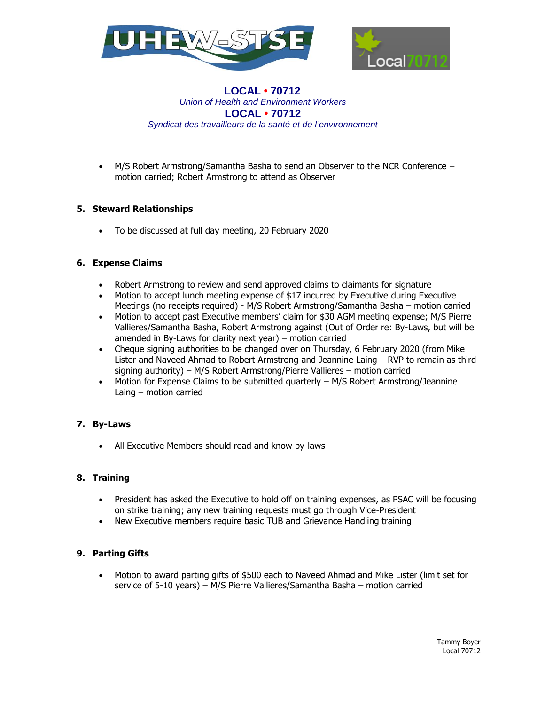



 M/S Robert Armstrong/Samantha Basha to send an Observer to the NCR Conference – motion carried; Robert Armstrong to attend as Observer

## **5. Steward Relationships**

To be discussed at full day meeting, 20 February 2020

## **6. Expense Claims**

- Robert Armstrong to review and send approved claims to claimants for signature
- Motion to accept lunch meeting expense of \$17 incurred by Executive during Executive Meetings (no receipts required) - M/S Robert Armstrong/Samantha Basha – motion carried
- Motion to accept past Executive members' claim for \$30 AGM meeting expense; M/S Pierre Vallieres/Samantha Basha, Robert Armstrong against (Out of Order re: By-Laws, but will be amended in By-Laws for clarity next year) – motion carried
- Cheque signing authorities to be changed over on Thursday, 6 February 2020 (from Mike Lister and Naveed Ahmad to Robert Armstrong and Jeannine Laing – RVP to remain as third signing authority) – M/S Robert Armstrong/Pierre Vallieres – motion carried
- Motion for Expense Claims to be submitted quarterly M/S Robert Armstrong/Jeannine Laing – motion carried

# **7. By-Laws**

All Executive Members should read and know by-laws

### **8. Training**

- President has asked the Executive to hold off on training expenses, as PSAC will be focusing on strike training; any new training requests must go through Vice-President
- New Executive members require basic TUB and Grievance Handling training

# **9. Parting Gifts**

 Motion to award parting gifts of \$500 each to Naveed Ahmad and Mike Lister (limit set for service of 5-10 years) – M/S Pierre Vallieres/Samantha Basha – motion carried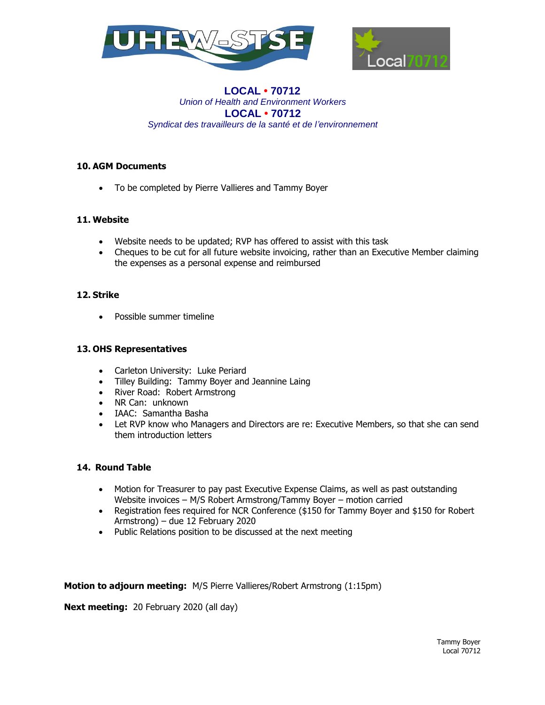



## **10. AGM Documents**

To be completed by Pierre Vallieres and Tammy Boyer

## **11. Website**

- Website needs to be updated; RVP has offered to assist with this task
- Cheques to be cut for all future website invoicing, rather than an Executive Member claiming the expenses as a personal expense and reimbursed

### **12. Strike**

• Possible summer timeline

### **13. OHS Representatives**

- Carleton University: Luke Periard
- Tilley Building: Tammy Boyer and Jeannine Laing
- River Road: Robert Armstrong
- NR Can: unknown
- IAAC: Samantha Basha
- Let RVP know who Managers and Directors are re: Executive Members, so that she can send them introduction letters

### **14. Round Table**

- Motion for Treasurer to pay past Executive Expense Claims, as well as past outstanding Website invoices – M/S Robert Armstrong/Tammy Boyer – motion carried
- Registration fees required for NCR Conference (\$150 for Tammy Boyer and \$150 for Robert Armstrong) – due 12 February 2020
- Public Relations position to be discussed at the next meeting

**Motion to adjourn meeting:** M/S Pierre Vallieres/Robert Armstrong (1:15pm)

**Next meeting:** 20 February 2020 (all day)